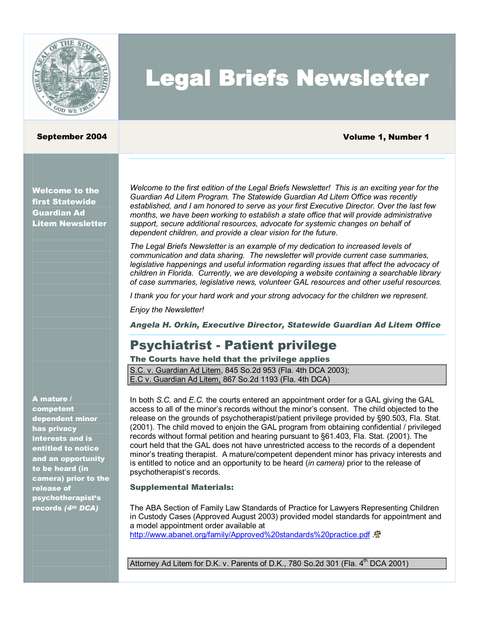

# Legal Briefs Newsletter

#### September 2004 Volume 1, Number 1

Welcome to the first Statewide Guardian Ad Litem Newsletter

*Welcome to the first edition of the Legal Briefs Newsletter! This is an exciting year for the Guardian Ad Litem Program. The Statewide Guardian Ad Litem Office was recently established, and I am honored to serve as your first Executive Director. Over the last few months, we have been working to establish a state office that will provide administrative support, secure additional resources, advocate for systemic changes on behalf of dependent children, and provide a clear vision for the future.*

*The Legal Briefs Newsletter is an example of my dedication to increased levels of communication and data sharing. The newsletter will provide current case summaries, legislative happenings and useful information regarding issues that affect the advocacy of children in Florida. Currently, we are developing a website containing a searchable library of case summaries, legislative news, volunteer GAL resources and other useful resources.*

*I thank you for your hard work and your strong advocacy for the children we represent.*

*Enjoy the Newsletter!*

*Angela H. Orkin, Executive Director, Statewide Guardian Ad Litem Office* 

### **Psychiatrist - Patient privilege**

### The Courts have held that the privilege applies

S.C. v. Guardian Ad Litem, 845 So.2d 953 (Fla. 4th DCA 2003); E.C v. Guardian Ad Litem, 867 So.2d 1193 (Fla. 4th DCA)

A mature /

competent dependent minor has privacy interests and is entitled to notice and an opportunity to be heard (in camera) prior to the release of psychotherapist's records *(4 th DCA)*

In both *S.C.* and *E.C.* the courts entered an appointment order for a GAL giving the GAL access to all of the minor's records without the minor's consent. The child objected to the release on the grounds of psychotherapist/patient privilege provided by §90.503, Fla. Stat. (2001). The child moved to enjoin the GAL program from obtaining confidential / privileged records without formal petition and hearing pursuant to §61.403, Fla. Stat. (2001). The court held that the GAL does not have unrestricted access to the records of a dependent minor's treating therapist. A mature/competent dependent minor has privacy interests and is entitled to notice and an opportunity to be heard (*in camera)* prior to the release of psychotherapist's records.

#### Supplemental Materials:

The ABA Section of Family Law Standards of Practice for Lawyers Representing Children in Custody Cases (Approved August 2003) provided model standards for appointment and a model appointment order available at <http://www.abanet.org/family/Approved%20standards%20practice.pdf>  $\mathbb I$ 

Attorney Ad Litem for D.K. v. Parents of D.K., 780 So.2d 301 (Fla. 4<sup>th</sup> DCA 2001)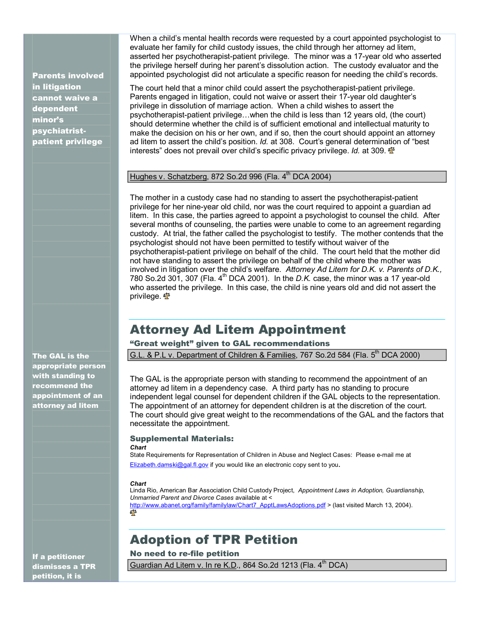Parents involved in litigation cannot waive a dependent minor's psychiatrist-<br>patient privilege

When a child's mental health records were requested by a court appointed psychologist to evaluate her family for child custody issues, the child through her attorney ad litem, asserted her psychotherapist-patient privilege. The minor was a 17-year old who asserted the privilege herself during her parent's dissolution action. The custody evaluator and the appointed psychologist did not articulate a specific reason for needing the child's records.

The court held that a minor child could assert the psychotherapist-patient privilege. Parents engaged in litigation, could not waive or assert their 17-year old daughter's privilege in dissolution of marriage action. When a child wishes to assert the psychotherapist-patient privilege...when the child is less than 12 years old, (the court) should determine whether the child is of sufficient emotional and intellectual maturity to make the decision on his or her own, and if so, then the court should appoint an attorney ad litem to assert the child's position. *Id.* at 308. Court's general determination of "best interests" does not prevail over child's specific privacy privilege. *Id.* at 309.

#### Hughes v. Schatzberg, 872 So.2d 996 (Fla. 4 th DCA 2004)

The mother in a custody case had no standing to assert the psychotherapist-patient privilege for her nine-year old child, nor was the court required to appoint a guardian ad litem. In this case, the parties agreed to appoint a psychologist to counsel the child. After several months of counseling, the parties were unable to come to an agreement regarding custody. At trial, the father called the psychologist to testify. The mother contends that the psychologist should not have been permitted to testify without waiver of the psychotherapist-patient privilege on behalf of the child. The court held that the mother did not have standing to assert the privilege on behalf of the child where the mother was involved in litigation over the child's welfare. *Attorney Ad Litem for D.K. v. Parents of D.K.,* 780 So.2d 301, 307 (Fla. 4<sup>th</sup> DCA 2001). In the *D.K.* case, the minor was a 17 year-old who asserted the privilege. In this case, the child is nine years old and did not assert the privilege.  $\Phi$ 

### Attorney Ad Litem Appointment

"Great weight" given to GAL recommendations

G.L. & P.L v. Department of Children & Families, 767 So.2d 584 (Fla. 5<sup>th</sup> DCA 2000)

The GAL is the appropriate person with standing to recommend the appointment of an attorney ad litem in a dependency case. A third party has no standing to procure independent legal counsel for dependent children if the GAL objects to the representation. The appointment of an attorney for dependent children is at the discretion of the court. The court should give great weight to the recommendations of the GAL and the factors that necessitate the appointment.

#### Supplemental Materials:

#### *Chart*

State Requirements for Representation of Children in Abuse and Neglect Cases: Please email me at [Elizabeth.damski@gal.fl.gov](mailto:Elizabeth.damski@gal.fl.gov) if you would like an electronic copy sent to you.

#### *Chart*

Linda Rio, American Bar Association Child Custody Project, *Appointment Laws in Adoption, Guardianship, Unmarried Parent and Divorce Cases* available at < <u>[http://www.abanet.org/family/familylaw/Chart7\\_ApptLawsAdoptions.pdf](http://www.abanet.org/family/familylaw/Chart7_ApptLawsAdoptions.pdf)</u> > (last visited March 13, 2004).<br>শ্ব<sup>তু</sup>

### Adoption of TPR Petition

No need to re-file petition

Guardian Ad Litem v. In re K.D., 864 So.2d 1213 (Fla. 4<sup>th</sup> DCA)

The GAL is the appropriate person with standing to recommend the appointment of an attorney ad litem

If a petitioner dismisses a TPR petition, it is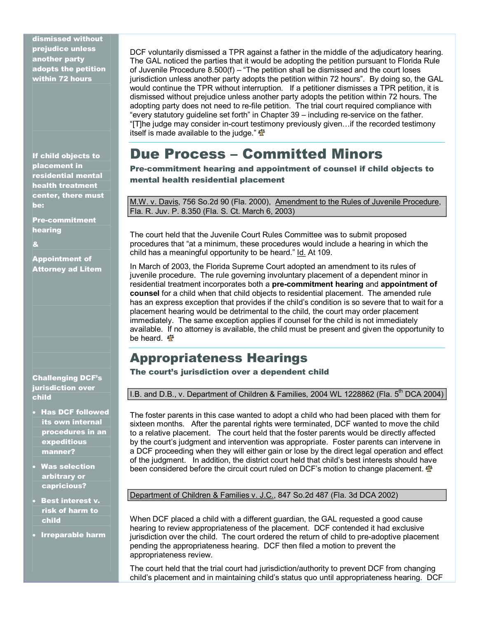dismissed without prejudice unless another party adopts the petition within 72 hours

If child objects to placement in residential mental health treatment center, there must be:

**Pre-commitment** hearing

&

Appointment of Attorney ad Litem

Challenging DCF's jurisdiction over child

- · Has DCF followed its own internal procedures in an expeditious manner?
- · Was selection arbitrary or capricious?
- · Best interest v. risk of harm to child
- · Irreparable harm

DCF voluntarily dismissed a TPR against a father in the middle of the adjudicatory hearing. The GAL noticed the parties that it would be adopting the petition pursuant to Florida Rule of Juvenile Procedure 8.500(f) – "The petition shall be dismissed and the court loses jurisdiction unless another party adopts the petition within 72 hours". By doing so, the GAL would continue the TPR without interruption. If a petitioner dismisses a TPR petition, it is dismissed without prejudice unless another party adopts the petition within 72 hours. The adopting party does not need to refile petition. The trial court required compliance with "every statutory guideline set forth" in Chapter 39 – including re-service on the father. "[T]he judge may consider in-court testimony previously given...if the recorded testimony itself is made available to the judge."  $\Phi$ 

## Due Process – Committed Minors

Pre-commitment hearing and appointment of counsel if child objects to mental health residential placement

M.W. v. Davis, 756 So.2d 90 (Fla. 2000), Amendment to the Rules of Juvenile Procedure, Fla. R. Juv. P. 8.350 (Fla. S. Ct. March 6, 2003)

The court held that the Juvenile Court Rules Committee was to submit proposed procedures that "at a minimum, these procedures would include a hearing in which the child has a meaningful opportunity to be heard." Id. At 109.

In March of 2003, the Florida Supreme Court adopted an amendment to its rules of juvenile procedure. The rule governing involuntary placement of a dependent minor in residential treatment incorporates both a **precommitment hearing** and **appointment of counsel** for a child when that child objects to residential placement. The amended rule has an express exception that provides if the child's condition is so severe that to wait for a placement hearing would be detrimental to the child, the court may order placement immediately. The same exception applies if counsel for the child is not immediately available. If no attorney is available, the child must be present and given the opportunity to be heard.  $\Phi$ 

### Appropriateness Hearings

The court's jurisdiction over a dependent child

I.B. and D.B., v. Department of Children & Families, 2004 WL 1228862 (Fla.  $5^{th}$  DCA 2004)

The foster parents in this case wanted to adopt a child who had been placed with them for sixteen months. After the parental rights were terminated, DCF wanted to move the child to a relative placement. The court held that the foster parents would be directly affected by the court's judgment and intervention was appropriate. Foster parents can intervene in a DCF proceeding when they will either gain or lose by the direct legal operation and effect of the judgment. In addition, the district court held that child's best interests should have been considered before the circuit court ruled on DCF's motion to change placement.  $\mathbf{\Phi}$ 

Department of Children & Families v. J.C., 847 So.2d 487 (Fla. 3d DCA 2002)

When DCF placed a child with a different guardian, the GAL requested a good cause hearing to review appropriateness of the placement. DCF contended it had exclusive jurisdiction over the child. The court ordered the return of child to pre-adoptive placement pending the appropriateness hearing. DCF then filed a motion to prevent the appropriateness review.

The court held that the trial court had jurisdiction/authority to prevent DCF from changing child's placement and in maintaining child's status quo until appropriateness hearing. DCF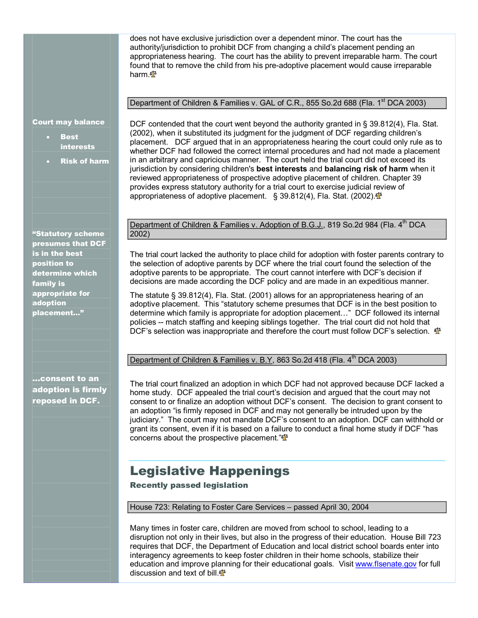does not have exclusive jurisdiction over a dependent minor. The court has the authority/jurisdiction to prohibit DCF from changing a child's placement pending an appropriateness hearing. The court has the ability to prevent irreparable harm. The court found that to remove the child from his pre-adoptive placement would cause irreparable harm.  $\Phi$ 

#### Department of Children & Families v. GAL of C.R., 855 So.2d 688 (Fla. 1<sup>st</sup> DCA 2003)

Court may balance

- **Best** interests
- **Risk of harm**

DCF contended that the court went beyond the authority granted in § 39.812(4), Fla. Stat. (2002), when it substituted its judgment for the judgment of DCF regarding children's placement. DCF argued that in an appropriateness hearing the court could only rule as to whether DCF had followed the correct internal procedures and had not made a placement in an arbitrary and capricious manner. The court held the trial court did not exceed its jurisdiction by considering children's **best interests** and **balancing risk of harm** when it reviewed appropriateness of prospective adoptive placement of children. Chapter 39 provides express statutory authority for a trial court to exercise judicial review of appropriateness of adoptive placement. § [39.812\(4\)](http://www.westlaw.com/Find/Default.wl?rs=++++1.0&vr=2.0&DB=1000006&DocName=FLSTS39.812&FindType=L), Fla. Stat. (2002). <a>

"Statutory scheme presumes that DCF is in the best position to determine which family is appropriate for adoption placement…"

…consent to an adoption is firmly reposed in DCF.

Department of Children & Families v. Adoption of B.G.J., 819 So.2d 984 (Fla. 4<sup>th</sup> DCA 2002)

The trial court lacked the authority to place child for adoption with foster parents contrary to the selection of adoptive parents by DCF where the trial court found the selection of the adoptive parents to be appropriate. The court cannot interfere with DCF's decision if decisions are made according the DCF policy and are made in an expeditious manner.

The statute § 39.812(4), Fla. Stat. (2001) allows for an appropriateness hearing of an adoptive placement. This "statutory scheme presumes that DCF is in the best position to determine which family is appropriate for adoption placement…" DCF followed its internal policies -- match staffing and keeping siblings together. The trial court did not hold that DCF's selection was inappropriate and therefore the court must follow DCF's selection.  $\mathbf{\Phi}$ 

Department of Children & Families v. B.Y., 863 So.2d 418 (Fla. 4<sup>th</sup> DCA 2003)

The trial court finalized an adoption in which DCF had not approved because DCF lacked a home study. DCF appealed the trial court's decision and argued that the court may not consent to or finalize an adoption without DCF's consent. The decision to grant consent to an adoption "is firmly reposed in DCF and may not generally be intruded upon by the judiciary." The court may not mandate DCF's consent to an adoption. DCF can withhold or grant its consent, even if it is based on a failure to conduct a final home study if DCF "has concerns about the prospective placement." $\Phi$ 

### Legislative Happenings

Recently passed legislation

House 723: Relating to Foster Care Services – passed April 30, 2004

Many times in foster care, children are moved from school to school, leading to a disruption not only in their lives, but also in the progress of their education. House Bill 723 requires that DCF, the Department of Education and local district school boards enter into interagency agreements to keep foster children in their home schools, stabilize their education and improve planning for their educational goals. Visit [www.flsenate.gov](http://www.flsenate.gov/) for full discussion and text of bill.